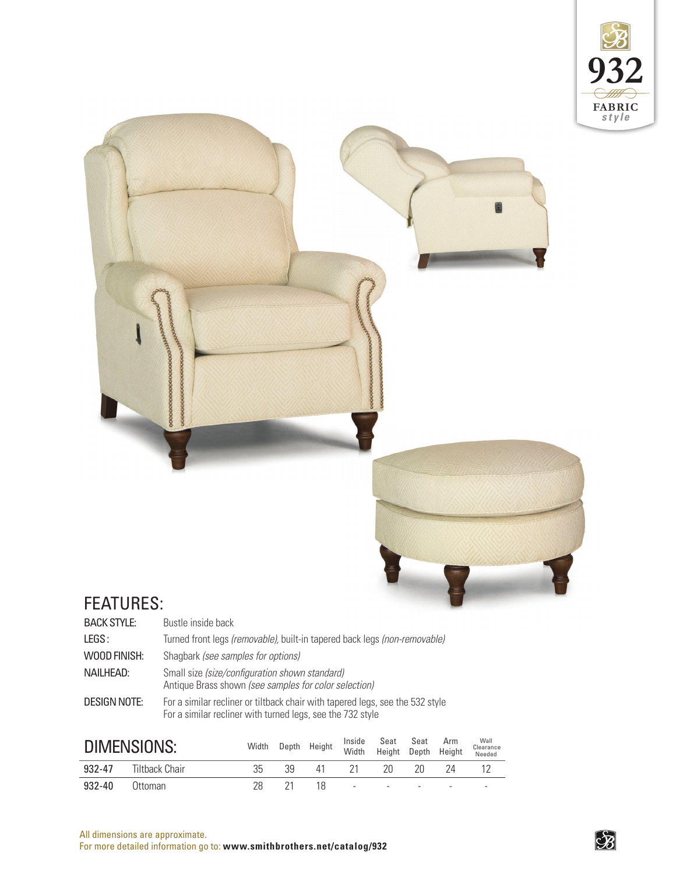



## FEATURES:

| <b>BACK STYLE:</b> | Bustle inside back                                                                                      |
|--------------------|---------------------------------------------------------------------------------------------------------|
| LEGS:              | Turned front legs (removable), built-in tapered back legs (non-removable)                               |
| WOOD FINISH:       | Shagbark <i>(see samples for options)</i>                                                               |
| NAILHEAD:          | Small size (size/configuration shown standard)<br>Antique Brass shown (see samples for color selection) |
| DESIGN NOTE:       | For a similar recliner or tiltback chair with tapered legs, see the 532 style                           |

For a similar recliner with turned legs, see the 732 style

| DIMENSIONS: |                |     |    | Width Depth Height |        | Inside Seat Seat Arm<br>Width Height Depth Height |                          | Wall<br>Clearance<br>Needed |
|-------------|----------------|-----|----|--------------------|--------|---------------------------------------------------|--------------------------|-----------------------------|
| 932-47      | Tiltback Chair | २५  | 5d | 41                 | -21    | 20                                                | 2Π                       |                             |
| $932 - 40$  | (Ittoman       | 28. |    | 18                 | $\sim$ |                                                   | $\overline{\phantom{a}}$ |                             |